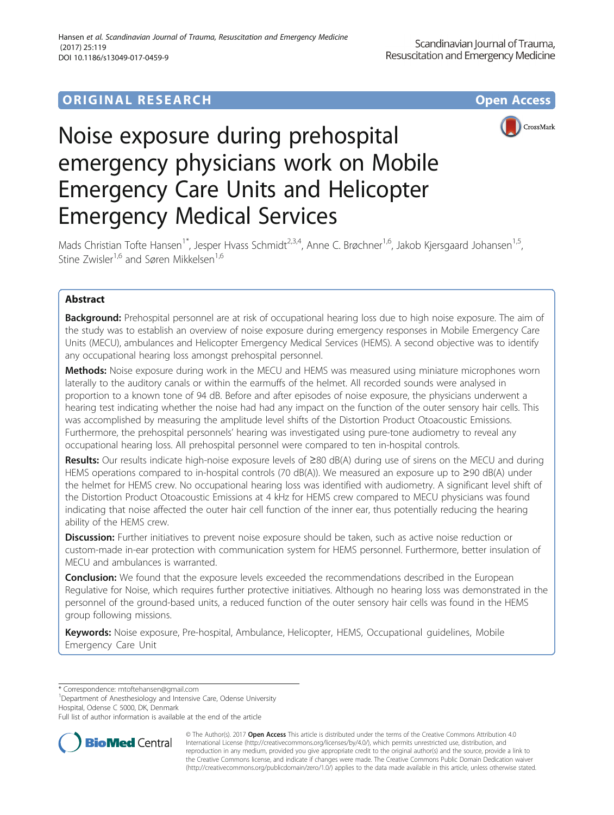## **ORIGINAL RESEARCH CONSUMING ACCESS**



# Noise exposure during prehospital emergency physicians work on Mobile Emergency Care Units and Helicopter Emergency Medical Services

Mads Christian Tofte Hansen<sup>1\*</sup>, Jesper Hvass Schmidt<sup>2,3,4</sup>, Anne C. Brøchner<sup>1,6</sup>, Jakob Kjersgaard Johansen<sup>1,5</sup>, Stine Zwisler<sup>1,6</sup> and Søren Mikkelsen<sup>1,6</sup>

## Abstract

**Background:** Prehospital personnel are at risk of occupational hearing loss due to high noise exposure. The aim of the study was to establish an overview of noise exposure during emergency responses in Mobile Emergency Care Units (MECU), ambulances and Helicopter Emergency Medical Services (HEMS). A second objective was to identify any occupational hearing loss amongst prehospital personnel.

Methods: Noise exposure during work in the MECU and HEMS was measured using miniature microphones worn laterally to the auditory canals or within the earmuffs of the helmet. All recorded sounds were analysed in proportion to a known tone of 94 dB. Before and after episodes of noise exposure, the physicians underwent a hearing test indicating whether the noise had had any impact on the function of the outer sensory hair cells. This was accomplished by measuring the amplitude level shifts of the Distortion Product Otoacoustic Emissions. Furthermore, the prehospital personnels' hearing was investigated using pure-tone audiometry to reveal any occupational hearing loss. All prehospital personnel were compared to ten in-hospital controls.

Results: Our results indicate high-noise exposure levels of ≥80 dB(A) during use of sirens on the MECU and during HEMS operations compared to in-hospital controls (70 dB(A)). We measured an exposure up to ≥90 dB(A) under the helmet for HEMS crew. No occupational hearing loss was identified with audiometry. A significant level shift of the Distortion Product Otoacoustic Emissions at 4 kHz for HEMS crew compared to MECU physicians was found indicating that noise affected the outer hair cell function of the inner ear, thus potentially reducing the hearing ability of the HEMS crew.

**Discussion:** Further initiatives to prevent noise exposure should be taken, such as active noise reduction or custom-made in-ear protection with communication system for HEMS personnel. Furthermore, better insulation of MECU and ambulances is warranted.

**Conclusion:** We found that the exposure levels exceeded the recommendations described in the European Regulative for Noise, which requires further protective initiatives. Although no hearing loss was demonstrated in the personnel of the ground-based units, a reduced function of the outer sensory hair cells was found in the HEMS group following missions.

Keywords: Noise exposure, Pre-hospital, Ambulance, Helicopter, HEMS, Occupational quidelines, Mobile Emergency Care Unit

\* Correspondence: [mtoftehansen@gmail.com](mailto:mtoftehansen@gmail.com) <sup>1</sup>

Department of Anesthesiology and Intensive Care, Odense University Hospital, Odense C 5000, DK, Denmark

Full list of author information is available at the end of the article



© The Author(s). 2017 **Open Access** This article is distributed under the terms of the Creative Commons Attribution 4.0 International License [\(http://creativecommons.org/licenses/by/4.0/](http://creativecommons.org/licenses/by/4.0/)), which permits unrestricted use, distribution, and reproduction in any medium, provided you give appropriate credit to the original author(s) and the source, provide a link to the Creative Commons license, and indicate if changes were made. The Creative Commons Public Domain Dedication waiver [\(http://creativecommons.org/publicdomain/zero/1.0/](http://creativecommons.org/publicdomain/zero/1.0/)) applies to the data made available in this article, unless otherwise stated.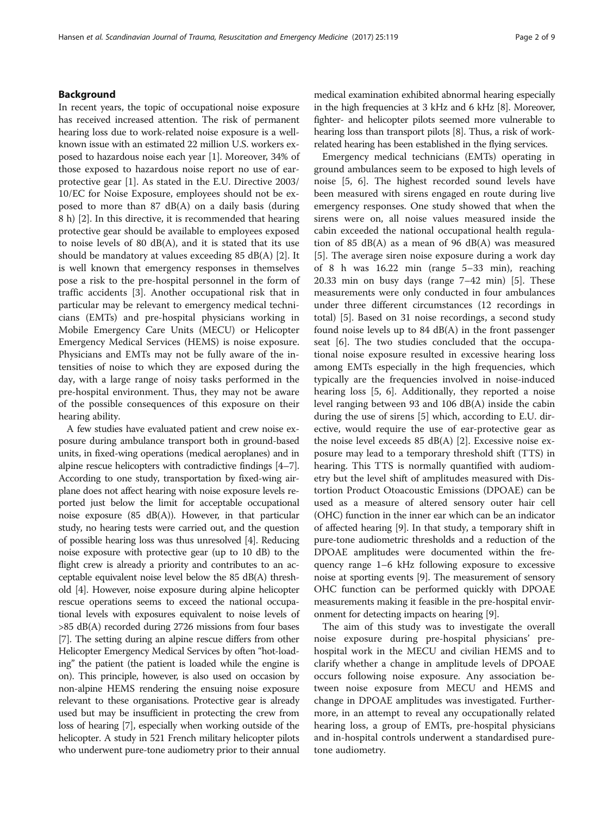## Background

In recent years, the topic of occupational noise exposure has received increased attention. The risk of permanent hearing loss due to work-related noise exposure is a wellknown issue with an estimated 22 million U.S. workers exposed to hazardous noise each year [\[1](#page-8-0)]. Moreover, 34% of those exposed to hazardous noise report no use of earprotective gear [\[1](#page-8-0)]. As stated in the E.U. Directive 2003/ 10/EC for Noise Exposure, employees should not be exposed to more than 87 dB(A) on a daily basis (during 8 h) [\[2\]](#page-8-0). In this directive, it is recommended that hearing protective gear should be available to employees exposed to noise levels of 80  $dB(A)$ , and it is stated that its use should be mandatory at values exceeding 85 dB(A) [[2\]](#page-8-0). It is well known that emergency responses in themselves pose a risk to the pre-hospital personnel in the form of traffic accidents [\[3](#page-8-0)]. Another occupational risk that in particular may be relevant to emergency medical technicians (EMTs) and pre-hospital physicians working in Mobile Emergency Care Units (MECU) or Helicopter Emergency Medical Services (HEMS) is noise exposure. Physicians and EMTs may not be fully aware of the intensities of noise to which they are exposed during the day, with a large range of noisy tasks performed in the pre-hospital environment. Thus, they may not be aware of the possible consequences of this exposure on their hearing ability.

A few studies have evaluated patient and crew noise exposure during ambulance transport both in ground-based units, in fixed-wing operations (medical aeroplanes) and in alpine rescue helicopters with contradictive findings [\[4](#page-8-0)–[7](#page-8-0)]. According to one study, transportation by fixed-wing airplane does not affect hearing with noise exposure levels reported just below the limit for acceptable occupational noise exposure (85 dB(A)). However, in that particular study, no hearing tests were carried out, and the question of possible hearing loss was thus unresolved [\[4](#page-8-0)]. Reducing noise exposure with protective gear (up to 10 dB) to the flight crew is already a priority and contributes to an acceptable equivalent noise level below the 85 dB(A) threshold [\[4\]](#page-8-0). However, noise exposure during alpine helicopter rescue operations seems to exceed the national occupational levels with exposures equivalent to noise levels of >85 dB(A) recorded during 2726 missions from four bases [[7](#page-8-0)]. The setting during an alpine rescue differs from other Helicopter Emergency Medical Services by often "hot-loading" the patient (the patient is loaded while the engine is on). This principle, however, is also used on occasion by non-alpine HEMS rendering the ensuing noise exposure relevant to these organisations. Protective gear is already used but may be insufficient in protecting the crew from loss of hearing [\[7](#page-8-0)], especially when working outside of the helicopter. A study in 521 French military helicopter pilots who underwent pure-tone audiometry prior to their annual medical examination exhibited abnormal hearing especially in the high frequencies at 3 kHz and 6 kHz [\[8](#page-8-0)]. Moreover, fighter- and helicopter pilots seemed more vulnerable to hearing loss than transport pilots [\[8\]](#page-8-0). Thus, a risk of workrelated hearing has been established in the flying services.

Emergency medical technicians (EMTs) operating in ground ambulances seem to be exposed to high levels of noise [[5, 6](#page-8-0)]. The highest recorded sound levels have been measured with sirens engaged en route during live emergency responses. One study showed that when the sirens were on, all noise values measured inside the cabin exceeded the national occupational health regulation of 85  $dB(A)$  as a mean of 96  $dB(A)$  was measured [[5\]](#page-8-0). The average siren noise exposure during a work day of 8 h was 16.22 min (range 5–33 min), reaching 20.33 min on busy days (range 7–42 min) [[5\]](#page-8-0). These measurements were only conducted in four ambulances under three different circumstances (12 recordings in total) [\[5](#page-8-0)]. Based on 31 noise recordings, a second study found noise levels up to 84 dB(A) in the front passenger seat [[6\]](#page-8-0). The two studies concluded that the occupational noise exposure resulted in excessive hearing loss among EMTs especially in the high frequencies, which typically are the frequencies involved in noise-induced hearing loss [[5, 6\]](#page-8-0). Additionally, they reported a noise level ranging between 93 and 106 dB(A) inside the cabin during the use of sirens [\[5](#page-8-0)] which, according to E.U. directive, would require the use of ear-protective gear as the noise level exceeds 85 dB(A) [\[2](#page-8-0)]. Excessive noise exposure may lead to a temporary threshold shift (TTS) in hearing. This TTS is normally quantified with audiometry but the level shift of amplitudes measured with Distortion Product Otoacoustic Emissions (DPOAE) can be used as a measure of altered sensory outer hair cell (OHC) function in the inner ear which can be an indicator of affected hearing [[9](#page-8-0)]. In that study, a temporary shift in pure-tone audiometric thresholds and a reduction of the DPOAE amplitudes were documented within the frequency range 1–6 kHz following exposure to excessive noise at sporting events [\[9](#page-8-0)]. The measurement of sensory OHC function can be performed quickly with DPOAE measurements making it feasible in the pre-hospital environment for detecting impacts on hearing [\[9](#page-8-0)].

The aim of this study was to investigate the overall noise exposure during pre-hospital physicians' prehospital work in the MECU and civilian HEMS and to clarify whether a change in amplitude levels of DPOAE occurs following noise exposure. Any association between noise exposure from MECU and HEMS and change in DPOAE amplitudes was investigated. Furthermore, in an attempt to reveal any occupationally related hearing loss, a group of EMTs, pre-hospital physicians and in-hospital controls underwent a standardised puretone audiometry.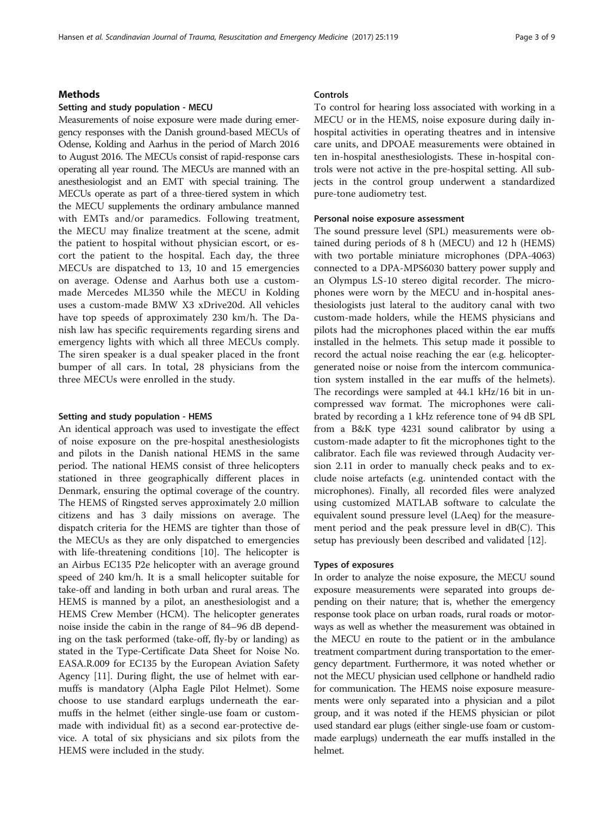## Methods

## Setting and study population - MECU

Measurements of noise exposure were made during emergency responses with the Danish ground-based MECUs of Odense, Kolding and Aarhus in the period of March 2016 to August 2016. The MECUs consist of rapid-response cars operating all year round. The MECUs are manned with an anesthesiologist and an EMT with special training. The MECUs operate as part of a three-tiered system in which the MECU supplements the ordinary ambulance manned with EMTs and/or paramedics. Following treatment, the MECU may finalize treatment at the scene, admit the patient to hospital without physician escort, or escort the patient to the hospital. Each day, the three MECUs are dispatched to 13, 10 and 15 emergencies on average. Odense and Aarhus both use a custommade Mercedes ML350 while the MECU in Kolding uses a custom-made BMW X3 xDrive20d. All vehicles have top speeds of approximately 230 km/h. The Danish law has specific requirements regarding sirens and emergency lights with which all three MECUs comply. The siren speaker is a dual speaker placed in the front bumper of all cars. In total, 28 physicians from the three MECUs were enrolled in the study.

## Setting and study population - HEMS

An identical approach was used to investigate the effect of noise exposure on the pre-hospital anesthesiologists and pilots in the Danish national HEMS in the same period. The national HEMS consist of three helicopters stationed in three geographically different places in Denmark, ensuring the optimal coverage of the country. The HEMS of Ringsted serves approximately 2.0 million citizens and has 3 daily missions on average. The dispatch criteria for the HEMS are tighter than those of the MECUs as they are only dispatched to emergencies with life-threatening conditions [[10](#page-8-0)]. The helicopter is an Airbus EC135 P2e helicopter with an average ground speed of 240 km/h. It is a small helicopter suitable for take-off and landing in both urban and rural areas. The HEMS is manned by a pilot, an anesthesiologist and a HEMS Crew Member (HCM). The helicopter generates noise inside the cabin in the range of 84–96 dB depending on the task performed (take-off, fly-by or landing) as stated in the Type-Certificate Data Sheet for Noise No. EASA.R.009 for EC135 by the European Aviation Safety Agency [\[11\]](#page-8-0). During flight, the use of helmet with earmuffs is mandatory (Alpha Eagle Pilot Helmet). Some choose to use standard earplugs underneath the earmuffs in the helmet (either single-use foam or custommade with individual fit) as a second ear-protective device. A total of six physicians and six pilots from the HEMS were included in the study.

## Controls

To control for hearing loss associated with working in a MECU or in the HEMS, noise exposure during daily inhospital activities in operating theatres and in intensive care units, and DPOAE measurements were obtained in ten in-hospital anesthesiologists. These in-hospital controls were not active in the pre-hospital setting. All subjects in the control group underwent a standardized pure-tone audiometry test.

## Personal noise exposure assessment

The sound pressure level (SPL) measurements were obtained during periods of 8 h (MECU) and 12 h (HEMS) with two portable miniature microphones (DPA-4063) connected to a DPA-MPS6030 battery power supply and an Olympus LS-10 stereo digital recorder. The microphones were worn by the MECU and in-hospital anesthesiologists just lateral to the auditory canal with two custom-made holders, while the HEMS physicians and pilots had the microphones placed within the ear muffs installed in the helmets. This setup made it possible to record the actual noise reaching the ear (e.g. helicoptergenerated noise or noise from the intercom communication system installed in the ear muffs of the helmets). The recordings were sampled at 44.1 kHz/16 bit in uncompressed wav format. The microphones were calibrated by recording a 1 kHz reference tone of 94 dB SPL from a B&K type 4231 sound calibrator by using a custom-made adapter to fit the microphones tight to the calibrator. Each file was reviewed through Audacity version 2.11 in order to manually check peaks and to exclude noise artefacts (e.g. unintended contact with the microphones). Finally, all recorded files were analyzed using customized MATLAB software to calculate the equivalent sound pressure level (LAeq) for the measurement period and the peak pressure level in dB(C). This setup has previously been described and validated [\[12\]](#page-8-0).

## Types of exposures

In order to analyze the noise exposure, the MECU sound exposure measurements were separated into groups depending on their nature; that is, whether the emergency response took place on urban roads, rural roads or motorways as well as whether the measurement was obtained in the MECU en route to the patient or in the ambulance treatment compartment during transportation to the emergency department. Furthermore, it was noted whether or not the MECU physician used cellphone or handheld radio for communication. The HEMS noise exposure measurements were only separated into a physician and a pilot group, and it was noted if the HEMS physician or pilot used standard ear plugs (either single-use foam or custommade earplugs) underneath the ear muffs installed in the helmet.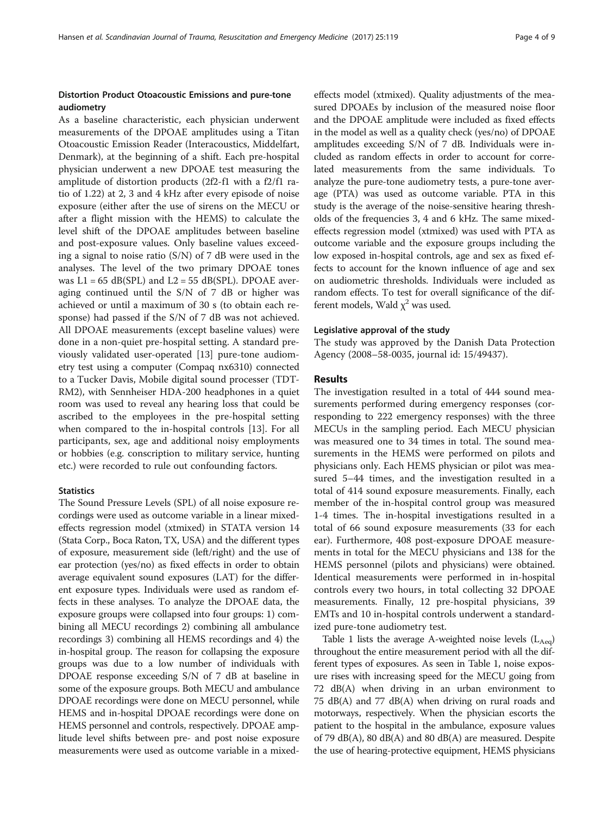## Distortion Product Otoacoustic Emissions and pure-tone audiometry

As a baseline characteristic, each physician underwent measurements of the DPOAE amplitudes using a Titan Otoacoustic Emission Reader (Interacoustics, Middelfart, Denmark), at the beginning of a shift. Each pre-hospital physician underwent a new DPOAE test measuring the amplitude of distortion products (2f2-f1 with a f2/f1 ratio of 1.22) at 2, 3 and 4 kHz after every episode of noise exposure (either after the use of sirens on the MECU or after a flight mission with the HEMS) to calculate the level shift of the DPOAE amplitudes between baseline and post-exposure values. Only baseline values exceeding a signal to noise ratio (S/N) of 7 dB were used in the analyses. The level of the two primary DPOAE tones was  $L1 = 65$  dB(SPL) and  $L2 = 55$  dB(SPL). DPOAE averaging continued until the S/N of 7 dB or higher was achieved or until a maximum of 30 s (to obtain each response) had passed if the S/N of 7 dB was not achieved. All DPOAE measurements (except baseline values) were done in a non-quiet pre-hospital setting. A standard previously validated user-operated [[13\]](#page-8-0) pure-tone audiometry test using a computer (Compaq nx6310) connected to a Tucker Davis, Mobile digital sound processer (TDT-RM2), with Sennheiser HDA-200 headphones in a quiet room was used to reveal any hearing loss that could be ascribed to the employees in the pre-hospital setting when compared to the in-hospital controls [\[13\]](#page-8-0). For all participants, sex, age and additional noisy employments or hobbies (e.g. conscription to military service, hunting etc.) were recorded to rule out confounding factors.

## **Statistics**

The Sound Pressure Levels (SPL) of all noise exposure recordings were used as outcome variable in a linear mixedeffects regression model (xtmixed) in STATA version 14 (Stata Corp., Boca Raton, TX, USA) and the different types of exposure, measurement side (left/right) and the use of ear protection (yes/no) as fixed effects in order to obtain average equivalent sound exposures (LAT) for the different exposure types. Individuals were used as random effects in these analyses. To analyze the DPOAE data, the exposure groups were collapsed into four groups: 1) combining all MECU recordings 2) combining all ambulance recordings 3) combining all HEMS recordings and 4) the in-hospital group. The reason for collapsing the exposure groups was due to a low number of individuals with DPOAE response exceeding S/N of 7 dB at baseline in some of the exposure groups. Both MECU and ambulance DPOAE recordings were done on MECU personnel, while HEMS and in-hospital DPOAE recordings were done on HEMS personnel and controls, respectively. DPOAE amplitude level shifts between pre- and post noise exposure measurements were used as outcome variable in a mixedeffects model (xtmixed). Quality adjustments of the measured DPOAEs by inclusion of the measured noise floor and the DPOAE amplitude were included as fixed effects in the model as well as a quality check (yes/no) of DPOAE amplitudes exceeding S/N of 7 dB. Individuals were included as random effects in order to account for correlated measurements from the same individuals. To analyze the pure-tone audiometry tests, a pure-tone average (PTA) was used as outcome variable. PTA in this study is the average of the noise-sensitive hearing thresholds of the frequencies 3, 4 and 6 kHz. The same mixedeffects regression model (xtmixed) was used with PTA as outcome variable and the exposure groups including the low exposed in-hospital controls, age and sex as fixed effects to account for the known influence of age and sex on audiometric thresholds. Individuals were included as random effects. To test for overall significance of the different models, Wald  $\chi^2$  was used.

## Legislative approval of the study

The study was approved by the Danish Data Protection Agency (2008–58-0035, journal id: 15/49437).

## Results

The investigation resulted in a total of 444 sound measurements performed during emergency responses (corresponding to 222 emergency responses) with the three MECUs in the sampling period. Each MECU physician was measured one to 34 times in total. The sound measurements in the HEMS were performed on pilots and physicians only. Each HEMS physician or pilot was measured 5–44 times, and the investigation resulted in a total of 414 sound exposure measurements. Finally, each member of the in-hospital control group was measured 1-4 times. The in-hospital investigations resulted in a total of 66 sound exposure measurements (33 for each ear). Furthermore, 408 post-exposure DPOAE measurements in total for the MECU physicians and 138 for the HEMS personnel (pilots and physicians) were obtained. Identical measurements were performed in in-hospital controls every two hours, in total collecting 32 DPOAE measurements. Finally, 12 pre-hospital physicians, 39 EMTs and 10 in-hospital controls underwent a standardized pure-tone audiometry test.

Table [1](#page-4-0) lists the average A-weighted noise levels  $(L_{Aeq})$ throughout the entire measurement period with all the different types of exposures. As seen in Table [1,](#page-4-0) noise exposure rises with increasing speed for the MECU going from 72 dB(A) when driving in an urban environment to 75 dB(A) and 77 dB(A) when driving on rural roads and motorways, respectively. When the physician escorts the patient to the hospital in the ambulance, exposure values of 79 dB(A), 80 dB(A) and 80 dB(A) are measured. Despite the use of hearing-protective equipment, HEMS physicians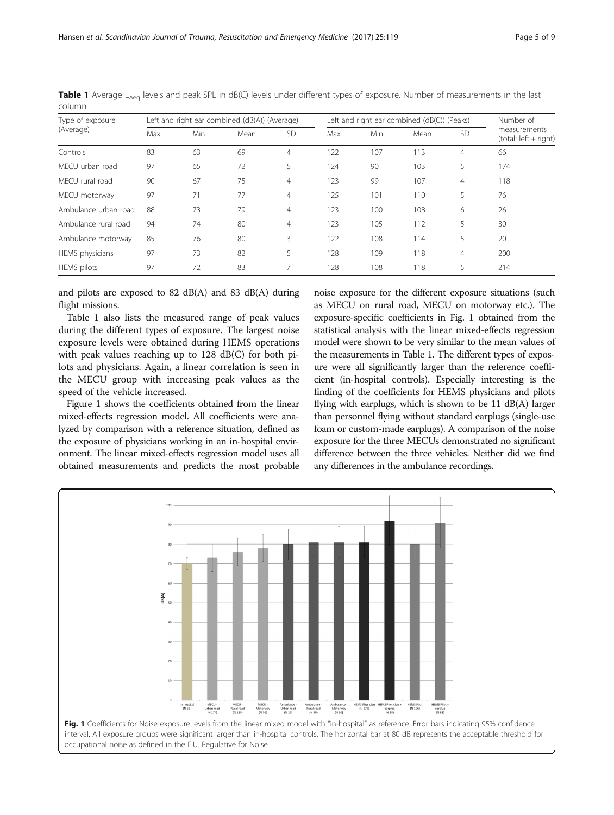| Type of exposure<br>(Average) | Left and right ear combined (dB(A)) (Average) |      |      | Left and right ear combined (dB(C)) (Peaks) |      |      | Number of |                |                                       |
|-------------------------------|-----------------------------------------------|------|------|---------------------------------------------|------|------|-----------|----------------|---------------------------------------|
|                               | Max.                                          | Min. | Mean | <b>SD</b>                                   | Max. | Min. | Mean      | <b>SD</b>      | measurements<br>(total: left + right) |
| Controls                      | 83                                            | 63   | 69   | $\overline{4}$                              | 122  | 107  | 113       | 4              | 66                                    |
| MFCU urban road               | 97                                            | 65   | 72   | 5                                           | 124  | 90   | 103       | 5              | 174                                   |
| MECU rural road               | 90                                            | 67   | 75   | $\overline{4}$                              | 123  | 99   | 107       | 4              | 118                                   |
| MECU motorway                 | 97                                            | 71   | 77   | $\overline{4}$                              | 125  | 101  | 110       | 5              | 76                                    |
| Ambulance urban road          | 88                                            | 73   | 79   | 4                                           | 123  | 100  | 108       | 6              | 26                                    |
| Ambulance rural road          | 94                                            | 74   | 80   | 4                                           | 123  | 105  | 112       | 5              | 30                                    |
| Ambulance motorway            | 85                                            | 76   | 80   | 3                                           | 122  | 108  | 114       | 5              | 20                                    |
| HEMS physicians               | 97                                            | 73   | 82   | 5                                           | 128  | 109  | 118       | $\overline{4}$ | 200                                   |
| <b>HEMS</b> pilots            | 97                                            | 72   | 83   |                                             | 128  | 108  | 118       | 5              | 214                                   |

<span id="page-4-0"></span>Table 1 Average L<sub>Aeq</sub> levels and peak SPL in dB(C) levels under different types of exposure. Number of measurements in the last column

and pilots are exposed to 82  $dB(A)$  and 83  $dB(A)$  during flight missions.

Table 1 also lists the measured range of peak values during the different types of exposure. The largest noise exposure levels were obtained during HEMS operations with peak values reaching up to 128 dB(C) for both pilots and physicians. Again, a linear correlation is seen in the MECU group with increasing peak values as the speed of the vehicle increased.

Figure 1 shows the coefficients obtained from the linear mixed-effects regression model. All coefficients were analyzed by comparison with a reference situation, defined as the exposure of physicians working in an in-hospital environment. The linear mixed-effects regression model uses all obtained measurements and predicts the most probable

noise exposure for the different exposure situations (such as MECU on rural road, MECU on motorway etc.). The exposure-specific coefficients in Fig. 1 obtained from the statistical analysis with the linear mixed-effects regression model were shown to be very similar to the mean values of the measurements in Table 1. The different types of exposure were all significantly larger than the reference coefficient (in-hospital controls). Especially interesting is the finding of the coefficients for HEMS physicians and pilots flying with earplugs, which is shown to be 11 dB(A) larger than personnel flying without standard earplugs (single-use foam or custom-made earplugs). A comparison of the noise exposure for the three MECUs demonstrated no significant difference between the three vehicles. Neither did we find any differences in the ambulance recordings.

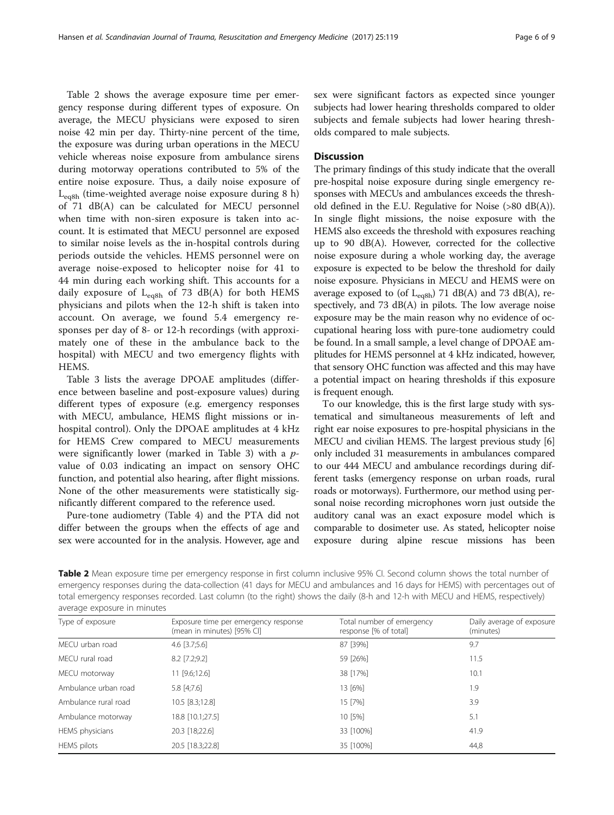Table 2 shows the average exposure time per emergency response during different types of exposure. On average, the MECU physicians were exposed to siren noise 42 min per day. Thirty-nine percent of the time, the exposure was during urban operations in the MECU vehicle whereas noise exposure from ambulance sirens during motorway operations contributed to 5% of the entire noise exposure. Thus, a daily noise exposure of  $L_{\text{each}}$  (time-weighted average noise exposure during 8 h) of 71 dB(A) can be calculated for MECU personnel when time with non-siren exposure is taken into account. It is estimated that MECU personnel are exposed to similar noise levels as the in-hospital controls during periods outside the vehicles. HEMS personnel were on average noise-exposed to helicopter noise for 41 to 44 min during each working shift. This accounts for a daily exposure of  $L_{\text{each}}$  of 73 dB(A) for both HEMS physicians and pilots when the 12-h shift is taken into account. On average, we found 5.4 emergency responses per day of 8- or 12-h recordings (with approximately one of these in the ambulance back to the hospital) with MECU and two emergency flights with HEMS.

Table [3](#page-6-0) lists the average DPOAE amplitudes (difference between baseline and post-exposure values) during different types of exposure (e.g. emergency responses with MECU, ambulance, HEMS flight missions or inhospital control). Only the DPOAE amplitudes at 4 kHz for HEMS Crew compared to MECU measurements were significantly lower (marked in Table [3](#page-6-0)) with a  $p$ value of 0.03 indicating an impact on sensory OHC function, and potential also hearing, after flight missions. None of the other measurements were statistically significantly different compared to the reference used.

Pure-tone audiometry (Table [4](#page-6-0)) and the PTA did not differ between the groups when the effects of age and sex were accounted for in the analysis. However, age and sex were significant factors as expected since younger subjects had lower hearing thresholds compared to older subjects and female subjects had lower hearing thresholds compared to male subjects.

## **Discussion**

The primary findings of this study indicate that the overall pre-hospital noise exposure during single emergency responses with MECUs and ambulances exceeds the threshold defined in the E.U. Regulative for Noise (>80 dB(A)). In single flight missions, the noise exposure with the HEMS also exceeds the threshold with exposures reaching up to 90 dB(A). However, corrected for the collective noise exposure during a whole working day, the average exposure is expected to be below the threshold for daily noise exposure. Physicians in MECU and HEMS were on average exposed to (of  $L_{eq8h}$ ) 71 dB(A) and 73 dB(A), respectively, and 73 dB(A) in pilots. The low average noise exposure may be the main reason why no evidence of occupational hearing loss with pure-tone audiometry could be found. In a small sample, a level change of DPOAE amplitudes for HEMS personnel at 4 kHz indicated, however, that sensory OHC function was affected and this may have a potential impact on hearing thresholds if this exposure is frequent enough.

To our knowledge, this is the first large study with systematical and simultaneous measurements of left and right ear noise exposures to pre-hospital physicians in the MECU and civilian HEMS. The largest previous study [[6](#page-8-0)] only included 31 measurements in ambulances compared to our 444 MECU and ambulance recordings during different tasks (emergency response on urban roads, rural roads or motorways). Furthermore, our method using personal noise recording microphones worn just outside the auditory canal was an exact exposure model which is comparable to dosimeter use. As stated, helicopter noise exposure during alpine rescue missions has been

Table 2 Mean exposure time per emergency response in first column inclusive 95% CI. Second column shows the total number of emergency responses during the data-collection (41 days for MECU and ambulances and 16 days for HEMS) with percentages out of total emergency responses recorded. Last column (to the right) shows the daily (8-h and 12-h with MECU and HEMS, respectively) average exposure in minutes

| Type of exposure     | Exposure time per emergency response<br>(mean in minutes) [95% CI] | Total number of emergency<br>response [% of total] | Daily average of exposure<br>(minutes) |  |
|----------------------|--------------------------------------------------------------------|----------------------------------------------------|----------------------------------------|--|
| MECU urban road      | $4.6$ [3.7;5.6]                                                    | 87 [39%]                                           | 9.7                                    |  |
| MECU rural road      | 8.2 [7.2;9.2]                                                      | 59 [26%]                                           | 11.5                                   |  |
| MECU motorway        | $11$ [9.6;12.6]                                                    | 38 [17%]                                           | 10.1                                   |  |
| Ambulance urban road | $5.8$ [4;7.6]                                                      | 13 [6%]                                            | 1.9                                    |  |
| Ambulance rural road | 10.5 [8.3;12.8]                                                    | 15 [7%]                                            | 3.9                                    |  |
| Ambulance motorway   | 18.8 [10.1;27.5]                                                   | 10 [5%]                                            | 5.1                                    |  |
| HEMS physicians      | 20.3 [18;22.6]                                                     | 33 [100%]                                          | 41.9                                   |  |
| HEMS pilots          | 20.5 [18.3;22.8]                                                   | 35 [100%]                                          | 44,8                                   |  |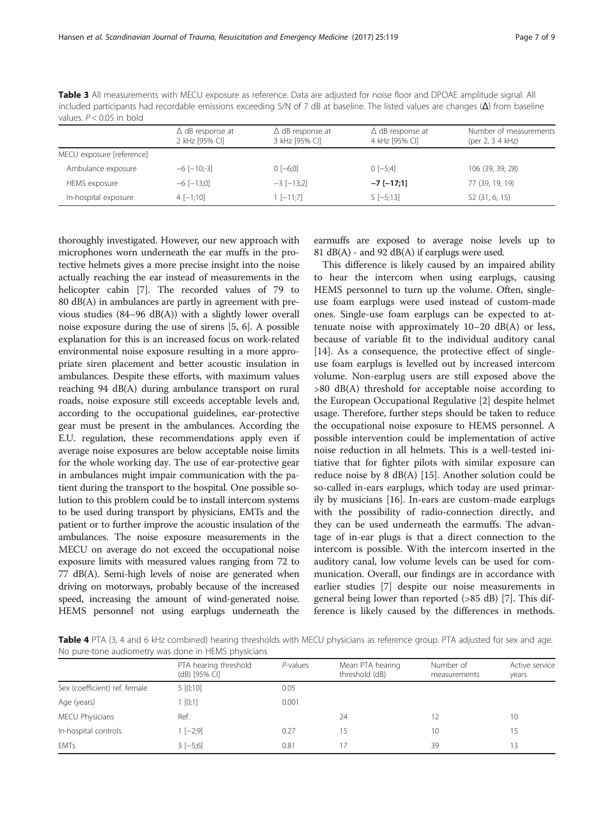|                            |                                           |                                           |                                           | included participants had recordable emissions exceeding S/N of 7 dB at baseline. The listed values are changes ( $\Delta$ ) from baseline |
|----------------------------|-------------------------------------------|-------------------------------------------|-------------------------------------------|--------------------------------------------------------------------------------------------------------------------------------------------|
| values. $P < 0.05$ in bold |                                           |                                           |                                           |                                                                                                                                            |
|                            | $\Delta$ dB response at<br>2 kHz [95% CI] | $\Delta$ dB response at<br>3 kHz [95% CI] | $\Delta$ dB response at<br>4 kHz [95% CI] | Number of measurements<br>(per 2, 3 4 kHz)                                                                                                 |

<span id="page-6-0"></span>Table 3 All measurements with MECU exposure as reference. Data are adjusted for noise floor and DPOAE amplitude signal. All

|                           | __ _ _ . _ _ _ _<br>2 kHz [95% CI] | __________<br>3 kHz [95% CI] | __________<br>4 kHz [95% CI] | (per 2, 3 4 kHz) |
|---------------------------|------------------------------------|------------------------------|------------------------------|------------------|
| MECU exposure [reference] |                                    |                              |                              |                  |
| Ambulance exposure        | $-6$ [ $-10$ ;-3]                  | $0$ [-6;0]                   | $0$ [-5;4]                   | 106 (39, 39, 28) |
| HEMS exposure             | $-6$ [ $-13;0$ ]                   | $-3$ [ $-13;2$ ]             | $-7$ [ $-17;1$ ]             | 77 (39, 19, 19)  |
| In-hospital exposure      | $4[-1:10]$                         | $[-11:7]$                    | $5[-5;13]$                   | 52 (31, 6, 15)   |

thoroughly investigated. However, our new approach with microphones worn underneath the ear muffs in the protective helmets gives a more precise insight into the noise actually reaching the ear instead of measurements in the helicopter cabin [[7](#page-8-0)]. The recorded values of 79 to 80 dB(A) in ambulances are partly in agreement with previous studies (84–96 dB(A)) with a slightly lower overall noise exposure during the use of sirens [\[5](#page-8-0), [6\]](#page-8-0). A possible explanation for this is an increased focus on work-related environmental noise exposure resulting in a more appropriate siren placement and better acoustic insulation in ambulances. Despite these efforts, with maximum values reaching 94 dB(A) during ambulance transport on rural roads, noise exposure still exceeds acceptable levels and, according to the occupational guidelines, ear-protective gear must be present in the ambulances. According the E.U. regulation, these recommendations apply even if average noise exposures are below acceptable noise limits for the whole working day. The use of ear-protective gear in ambulances might impair communication with the patient during the transport to the hospital. One possible solution to this problem could be to install intercom systems to be used during transport by physicians, EMTs and the patient or to further improve the acoustic insulation of the ambulances. The noise exposure measurements in the MECU on average do not exceed the occupational noise exposure limits with measured values ranging from 72 to 77 dB(A). Semi-high levels of noise are generated when driving on motorways, probably because of the increased speed, increasing the amount of wind-generated noise. HEMS personnel not using earplugs underneath the

earmuffs are exposed to average noise levels up to 81  $dB(A)$  - and 92  $dB(A)$  if earplugs were used.

This difference is likely caused by an impaired ability to hear the intercom when using earplugs, causing HEMS personnel to turn up the volume. Often, singleuse foam earplugs were used instead of custom-made ones. Single-use foam earplugs can be expected to attenuate noise with approximately 10–20 dB(A) or less, because of variable fit to the individual auditory canal [[14\]](#page-8-0). As a consequence, the protective effect of singleuse foam earplugs is levelled out by increased intercom volume. Non-earplug users are still exposed above the >80 dB(A) threshold for acceptable noise according to the European Occupational Regulative [[2\]](#page-8-0) despite helmet usage. Therefore, further steps should be taken to reduce the occupational noise exposure to HEMS personnel. A possible intervention could be implementation of active noise reduction in all helmets. This is a well-tested initiative that for fighter pilots with similar exposure can reduce noise by 8 dB(A) [\[15](#page-8-0)]. Another solution could be so-called in-ears earplugs, which today are used primarily by musicians [\[16\]](#page-8-0). In-ears are custom-made earplugs with the possibility of radio-connection directly, and they can be used underneath the earmuffs. The advantage of in-ear plugs is that a direct connection to the intercom is possible. With the intercom inserted in the auditory canal, low volume levels can be used for communication. Overall, our findings are in accordance with earlier studies [\[7](#page-8-0)] despite our noise measurements in general being lower than reported (>85 dB) [[7\]](#page-8-0). This difference is likely caused by the differences in methods.

Table 4 PTA (3, 4 and 6 kHz combined) hearing thresholds with MECU physicians as reference group. PTA adjusted for sex and age. No pure-tone audiometry was done in HEMS physicians

|                               | PTA hearing threshold<br>(dB) [95% CI] | $P$ -values | Mean PTA hearing<br>threshold (dB) | Number of<br>measurements | Active service<br>years |  |  |
|-------------------------------|----------------------------------------|-------------|------------------------------------|---------------------------|-------------------------|--|--|
| Sex (coefficient) ref. female | 5[0;10]                                | 0.05        |                                    |                           |                         |  |  |
| Age (years)                   | [0;1]                                  | 0.001       |                                    |                           |                         |  |  |
| MECU Physicians               | Ref.                                   |             | 24                                 |                           | 10                      |  |  |
| In-hospital controls          | $1[-2,9]$                              | 0.27        | 15                                 | 10                        | 15                      |  |  |
| <b>EMTs</b>                   | $3[-5,6]$                              | 0.81        | 17                                 | 39                        | 13                      |  |  |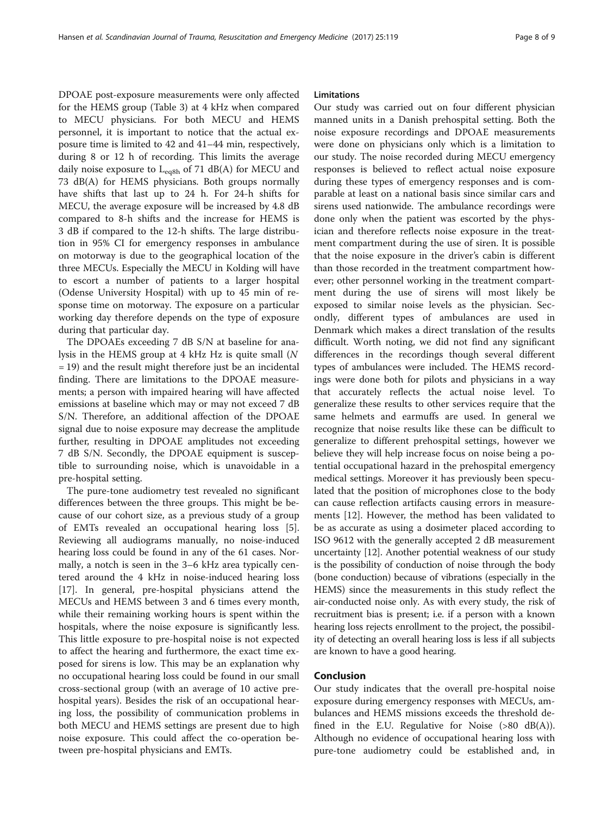DPOAE post-exposure measurements were only affected for the HEMS group (Table [3](#page-6-0)) at 4 kHz when compared to MECU physicians. For both MECU and HEMS personnel, it is important to notice that the actual exposure time is limited to 42 and 41–44 min, respectively, during 8 or 12 h of recording. This limits the average daily noise exposure to  $L_{\text{e}a8h}$  of 71 dB(A) for MECU and 73 dB(A) for HEMS physicians. Both groups normally have shifts that last up to 24 h. For 24-h shifts for MECU, the average exposure will be increased by 4.8 dB compared to 8-h shifts and the increase for HEMS is 3 dB if compared to the 12-h shifts. The large distribution in 95% CI for emergency responses in ambulance on motorway is due to the geographical location of the three MECUs. Especially the MECU in Kolding will have to escort a number of patients to a larger hospital (Odense University Hospital) with up to 45 min of response time on motorway. The exposure on a particular working day therefore depends on the type of exposure during that particular day.

The DPOAEs exceeding 7 dB S/N at baseline for analysis in the HEMS group at 4 kHz Hz is quite small  $(N)$ = 19) and the result might therefore just be an incidental finding. There are limitations to the DPOAE measurements; a person with impaired hearing will have affected emissions at baseline which may or may not exceed 7 dB S/N. Therefore, an additional affection of the DPOAE signal due to noise exposure may decrease the amplitude further, resulting in DPOAE amplitudes not exceeding 7 dB S/N. Secondly, the DPOAE equipment is susceptible to surrounding noise, which is unavoidable in a pre-hospital setting.

The pure-tone audiometry test revealed no significant differences between the three groups. This might be because of our cohort size, as a previous study of a group of EMTs revealed an occupational hearing loss [\[5](#page-8-0)]. Reviewing all audiograms manually, no noise-induced hearing loss could be found in any of the 61 cases. Normally, a notch is seen in the 3–6 kHz area typically centered around the 4 kHz in noise-induced hearing loss [[17\]](#page-8-0). In general, pre-hospital physicians attend the MECUs and HEMS between 3 and 6 times every month, while their remaining working hours is spent within the hospitals, where the noise exposure is significantly less. This little exposure to pre-hospital noise is not expected to affect the hearing and furthermore, the exact time exposed for sirens is low. This may be an explanation why no occupational hearing loss could be found in our small cross-sectional group (with an average of 10 active prehospital years). Besides the risk of an occupational hearing loss, the possibility of communication problems in both MECU and HEMS settings are present due to high noise exposure. This could affect the co-operation between pre-hospital physicians and EMTs.

## Limitations

Our study was carried out on four different physician manned units in a Danish prehospital setting. Both the noise exposure recordings and DPOAE measurements were done on physicians only which is a limitation to our study. The noise recorded during MECU emergency responses is believed to reflect actual noise exposure during these types of emergency responses and is comparable at least on a national basis since similar cars and sirens used nationwide. The ambulance recordings were done only when the patient was escorted by the physician and therefore reflects noise exposure in the treatment compartment during the use of siren. It is possible that the noise exposure in the driver's cabin is different than those recorded in the treatment compartment however; other personnel working in the treatment compartment during the use of sirens will most likely be exposed to similar noise levels as the physician. Secondly, different types of ambulances are used in Denmark which makes a direct translation of the results difficult. Worth noting, we did not find any significant differences in the recordings though several different types of ambulances were included. The HEMS recordings were done both for pilots and physicians in a way that accurately reflects the actual noise level. To generalize these results to other services require that the same helmets and earmuffs are used. In general we recognize that noise results like these can be difficult to generalize to different prehospital settings, however we believe they will help increase focus on noise being a potential occupational hazard in the prehospital emergency medical settings. Moreover it has previously been speculated that the position of microphones close to the body can cause reflection artifacts causing errors in measurements [[12\]](#page-8-0). However, the method has been validated to be as accurate as using a dosimeter placed according to ISO 9612 with the generally accepted 2 dB measurement uncertainty [\[12\]](#page-8-0). Another potential weakness of our study is the possibility of conduction of noise through the body (bone conduction) because of vibrations (especially in the HEMS) since the measurements in this study reflect the air-conducted noise only. As with every study, the risk of recruitment bias is present; i.e. if a person with a known hearing loss rejects enrollment to the project, the possibility of detecting an overall hearing loss is less if all subjects are known to have a good hearing.

## Conclusion

Our study indicates that the overall pre-hospital noise exposure during emergency responses with MECUs, ambulances and HEMS missions exceeds the threshold defined in the E.U. Regulative for Noise  $(>80 \text{ dB(A)}).$ Although no evidence of occupational hearing loss with pure-tone audiometry could be established and, in